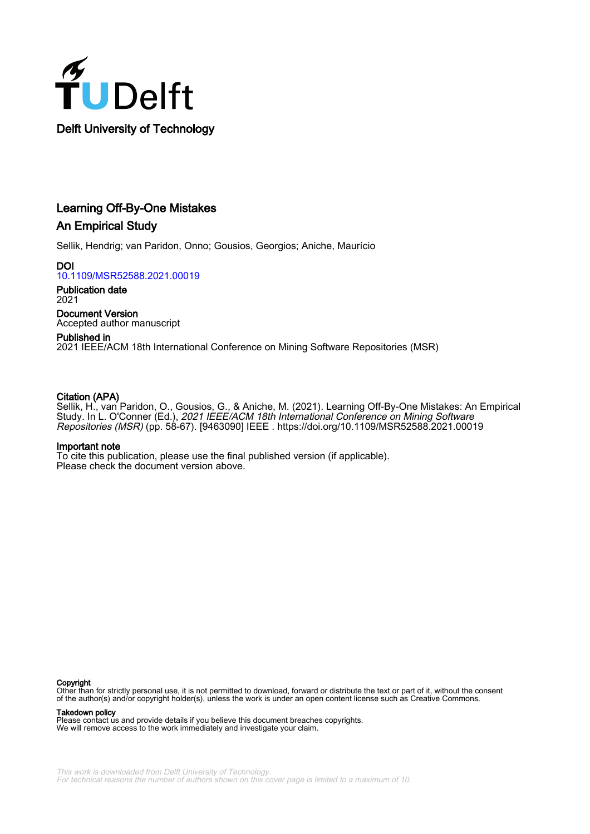

# Learning Off-By-One Mistakes An Empirical Study

Sellik, Hendrig; van Paridon, Onno; Gousios, Georgios; Aniche, Maurício

**DOI** [10.1109/MSR52588.2021.00019](https://doi.org/10.1109/MSR52588.2021.00019)

Publication date 2021

Document Version Accepted author manuscript

Published in 2021 IEEE/ACM 18th International Conference on Mining Software Repositories (MSR)

# Citation (APA)

Sellik, H., van Paridon, O., Gousios, G., & Aniche, M. (2021). Learning Off-By-One Mistakes: An Empirical Study. In L. O'Conner (Ed.), *2021 IEEE/ACM 18th International Conference on Mining Software* Repositories (MSR) (pp. 58-67). [9463090] IEEE . <https://doi.org/10.1109/MSR52588.2021.00019>

# Important note

To cite this publication, please use the final published version (if applicable). Please check the document version above.

#### Copyright

Other than for strictly personal use, it is not permitted to download, forward or distribute the text or part of it, without the consent of the author(s) and/or copyright holder(s), unless the work is under an open content license such as Creative Commons.

Takedown policy

Please contact us and provide details if you believe this document breaches copyrights. We will remove access to the work immediately and investigate your claim.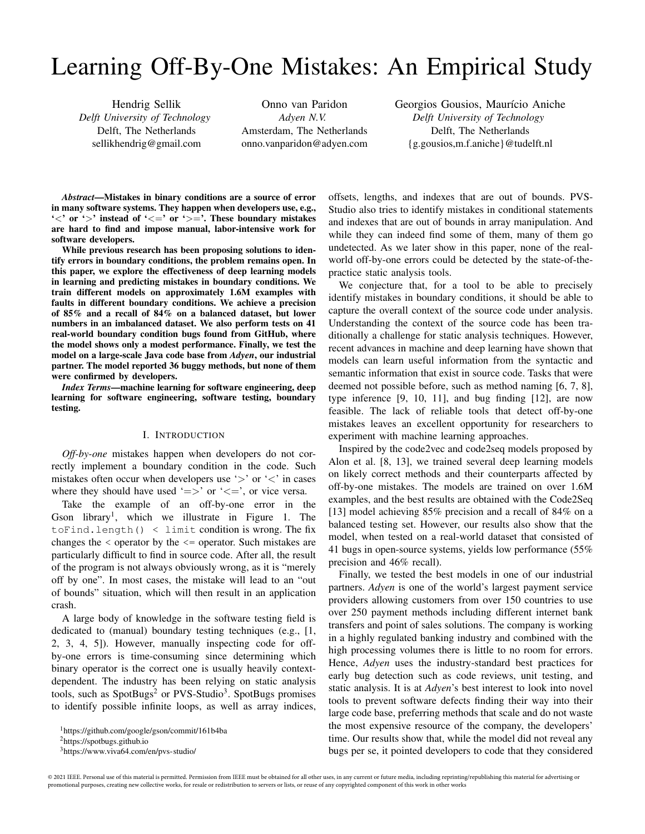# Learning Off-By-One Mistakes: An Empirical Study

Hendrig Sellik *Delft University of Technology* Delft, The Netherlands sellikhendrig@gmail.com

Onno van Paridon *Adyen N.V.* Amsterdam, The Netherlands onno.vanparidon@adyen.com Georgios Gousios, Maurício Aniche *Delft University of Technology* Delft, The Netherlands {g.gousios,m.f.aniche}@tudelft.nl

*Abstract*—Mistakes in binary conditions are a source of error in many software systems. They happen when developers use, e.g., ' $\lt'$ ' or ' $>$ ' instead of ' $\lt =$ ' or ' $\gt =$ '. These boundary mistakes are hard to find and impose manual, labor-intensive work for software developers.

While previous research has been proposing solutions to identify errors in boundary conditions, the problem remains open. In this paper, we explore the effectiveness of deep learning models in learning and predicting mistakes in boundary conditions. We train different models on approximately 1.6M examples with faults in different boundary conditions. We achieve a precision of 85% and a recall of 84% on a balanced dataset, but lower numbers in an imbalanced dataset. We also perform tests on 41 real-world boundary condition bugs found from GitHub, where the model shows only a modest performance. Finally, we test the model on a large-scale Java code base from *Adyen*, our industrial partner. The model reported 36 buggy methods, but none of them were confirmed by developers.

*Index Terms*—machine learning for software engineering, deep learning for software engineering, software testing, boundary testing.

# I. INTRODUCTION

*Off-by-one* mistakes happen when developers do not correctly implement a boundary condition in the code. Such mistakes often occur when developers use ' $>$ ' or ' $<$ ' in cases where they should have used ' $\Rightarrow$ ' or ' $\lt =$ ', or vice versa.

Take the example of an off-by-one error in the Gson library<sup>1</sup>, which we illustrate in Figure 1. The toFind.length()  $\langle$  limit condition is wrong. The fix changes the < operator by the <= operator. Such mistakes are particularly difficult to find in source code. After all, the result of the program is not always obviously wrong, as it is "merely off by one". In most cases, the mistake will lead to an "out of bounds" situation, which will then result in an application crash.

A large body of knowledge in the software testing field is dedicated to (manual) boundary testing techniques (e.g., [1, 2, 3, 4, 5]). However, manually inspecting code for offby-one errors is time-consuming since determining which binary operator is the correct one is usually heavily contextdependent. The industry has been relying on static analysis tools, such as SpotBugs<sup>2</sup> or PVS-Studio<sup>3</sup>. SpotBugs promises to identify possible infinite loops, as well as array indices, offsets, lengths, and indexes that are out of bounds. PVS-Studio also tries to identify mistakes in conditional statements and indexes that are out of bounds in array manipulation. And while they can indeed find some of them, many of them go undetected. As we later show in this paper, none of the realworld off-by-one errors could be detected by the state-of-thepractice static analysis tools.

We conjecture that, for a tool to be able to precisely identify mistakes in boundary conditions, it should be able to capture the overall context of the source code under analysis. Understanding the context of the source code has been traditionally a challenge for static analysis techniques. However, recent advances in machine and deep learning have shown that models can learn useful information from the syntactic and semantic information that exist in source code. Tasks that were deemed not possible before, such as method naming [6, 7, 8], type inference [9, 10, 11], and bug finding [12], are now feasible. The lack of reliable tools that detect off-by-one mistakes leaves an excellent opportunity for researchers to experiment with machine learning approaches.

Inspired by the code2vec and code2seq models proposed by Alon et al. [8, 13], we trained several deep learning models on likely correct methods and their counterparts affected by off-by-one mistakes. The models are trained on over 1.6M examples, and the best results are obtained with the Code2Seq [13] model achieving 85% precision and a recall of 84% on a balanced testing set. However, our results also show that the model, when tested on a real-world dataset that consisted of 41 bugs in open-source systems, yields low performance (55% precision and 46% recall).

Finally, we tested the best models in one of our industrial partners. *Adyen* is one of the world's largest payment service providers allowing customers from over 150 countries to use over 250 payment methods including different internet bank transfers and point of sales solutions. The company is working in a highly regulated banking industry and combined with the high processing volumes there is little to no room for errors. Hence, *Adyen* uses the industry-standard best practices for early bug detection such as code reviews, unit testing, and static analysis. It is at *Adyen*'s best interest to look into novel tools to prevent software defects finding their way into their large code base, preferring methods that scale and do not waste the most expensive resource of the company, the developers' time. Our results show that, while the model did not reveal any bugs per se, it pointed developers to code that they considered

<sup>1</sup>https://github.com/google/gson/commit/161b4ba

<sup>2</sup>https://spotbugs.github.io

<sup>3</sup>https://www.viva64.com/en/pvs-studio/

<sup>© 2021</sup> IEEE. Personal use of this material is permitted. Permission from IEEE must be obtained for all other uses, in any current or future media, including reprinting/republishing this material for advertising or promotional purposes, creating new collective works, for resale or redistribution to servers or lists, or reuse of any copyrighted component of this work in other works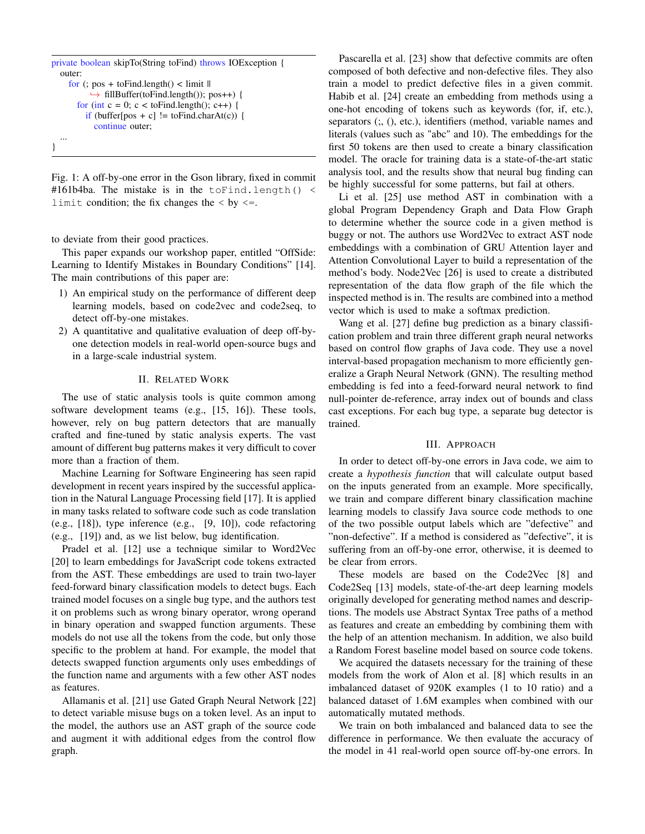```
private boolean skipTo(String toFind) throws IOException {
  outer:
     for (; pos + to Find.length() < limit \parallel\hookrightarrow fillBuffer(toFind.length()); pos++) {
       for (int c = 0; c < to Find.length(); c++) {
         if (buffer[pos + c] != toFind.charAt(c)) {
            continue outer;
   ...
}
```
Fig. 1: A off-by-one error in the Gson library, fixed in commit #161b4ba. The mistake is in the toFind.length() < limit condition; the fix changes the  $\langle$  by  $\langle =$ .

to deviate from their good practices.

This paper expands our workshop paper, entitled "OffSide: Learning to Identify Mistakes in Boundary Conditions" [14]. The main contributions of this paper are:

- 1) An empirical study on the performance of different deep learning models, based on code2vec and code2seq, to detect off-by-one mistakes.
- 2) A quantitative and qualitative evaluation of deep off-byone detection models in real-world open-source bugs and in a large-scale industrial system.

#### II. RELATED WORK

The use of static analysis tools is quite common among software development teams (e.g., [15, 16]). These tools, however, rely on bug pattern detectors that are manually crafted and fine-tuned by static analysis experts. The vast amount of different bug patterns makes it very difficult to cover more than a fraction of them.

Machine Learning for Software Engineering has seen rapid development in recent years inspired by the successful application in the Natural Language Processing field [17]. It is applied in many tasks related to software code such as code translation (e.g., [18]), type inference (e.g., [9, 10]), code refactoring (e.g., [19]) and, as we list below, bug identification.

Pradel et al. [12] use a technique similar to Word2Vec [20] to learn embeddings for JavaScript code tokens extracted from the AST. These embeddings are used to train two-layer feed-forward binary classification models to detect bugs. Each trained model focuses on a single bug type, and the authors test it on problems such as wrong binary operator, wrong operand in binary operation and swapped function arguments. These models do not use all the tokens from the code, but only those specific to the problem at hand. For example, the model that detects swapped function arguments only uses embeddings of the function name and arguments with a few other AST nodes as features.

Allamanis et al. [21] use Gated Graph Neural Network [22] to detect variable misuse bugs on a token level. As an input to the model, the authors use an AST graph of the source code and augment it with additional edges from the control flow graph.

Pascarella et al. [23] show that defective commits are often composed of both defective and non-defective files. They also train a model to predict defective files in a given commit. Habib et al. [24] create an embedding from methods using a one-hot encoding of tokens such as keywords (for, if, etc.), separators (;, (), etc.), identifiers (method, variable names and literals (values such as "abc" and 10). The embeddings for the first 50 tokens are then used to create a binary classification model. The oracle for training data is a state-of-the-art static analysis tool, and the results show that neural bug finding can be highly successful for some patterns, but fail at others.

Li et al. [25] use method AST in combination with a global Program Dependency Graph and Data Flow Graph to determine whether the source code in a given method is buggy or not. The authors use Word2Vec to extract AST node embeddings with a combination of GRU Attention layer and Attention Convolutional Layer to build a representation of the method's body. Node2Vec [26] is used to create a distributed representation of the data flow graph of the file which the inspected method is in. The results are combined into a method vector which is used to make a softmax prediction.

Wang et al. [27] define bug prediction as a binary classification problem and train three different graph neural networks based on control flow graphs of Java code. They use a novel interval-based propagation mechanism to more efficiently generalize a Graph Neural Network (GNN). The resulting method embedding is fed into a feed-forward neural network to find null-pointer de-reference, array index out of bounds and class cast exceptions. For each bug type, a separate bug detector is trained.

#### III. APPROACH

In order to detect off-by-one errors in Java code, we aim to create a *hypothesis function* that will calculate output based on the inputs generated from an example. More specifically, we train and compare different binary classification machine learning models to classify Java source code methods to one of the two possible output labels which are "defective" and "non-defective". If a method is considered as "defective", it is suffering from an off-by-one error, otherwise, it is deemed to be clear from errors.

These models are based on the Code2Vec [8] and Code2Seq [13] models, state-of-the-art deep learning models originally developed for generating method names and descriptions. The models use Abstract Syntax Tree paths of a method as features and create an embedding by combining them with the help of an attention mechanism. In addition, we also build a Random Forest baseline model based on source code tokens.

We acquired the datasets necessary for the training of these models from the work of Alon et al. [8] which results in an imbalanced dataset of 920K examples (1 to 10 ratio) and a balanced dataset of 1.6M examples when combined with our automatically mutated methods.

We train on both imbalanced and balanced data to see the difference in performance. We then evaluate the accuracy of the model in 41 real-world open source off-by-one errors. In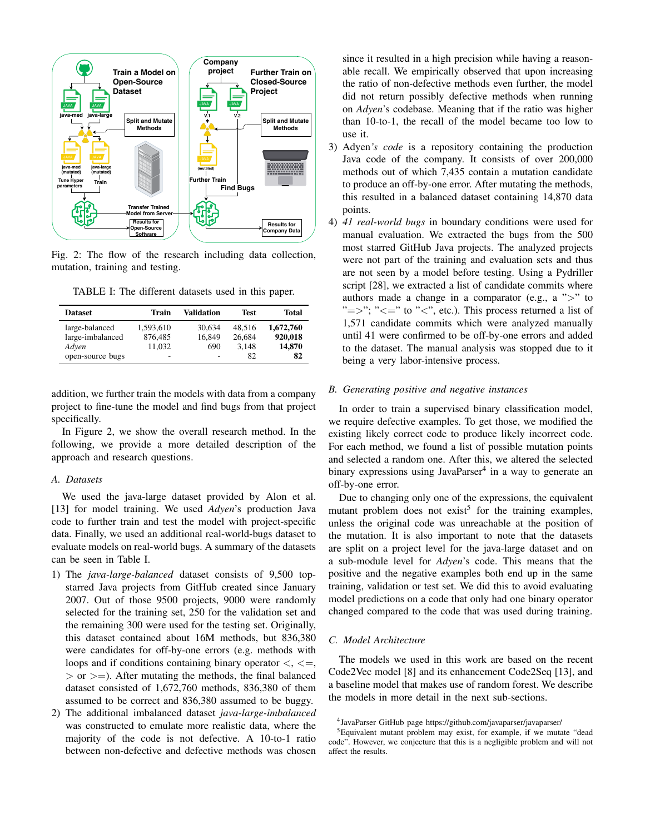

Fig. 2: The flow of the research including data collection, mutation, training and testing.

TABLE I: The different datasets used in this paper.

| <b>Dataset</b>   | Train                    | <b>Validation</b> | <b>Test</b> | Total     |
|------------------|--------------------------|-------------------|-------------|-----------|
| large-balanced   | 1.593.610                | 30.634            | 48.516      | 1,672,760 |
| large-imbalanced | 876,485                  | 16.849            | 26.684      | 920,018   |
| Adven            | 11.032                   | 690               | 3.148       | 14,870    |
| open-source bugs | $\overline{\phantom{a}}$ | ۰                 | 82          | 82        |

addition, we further train the models with data from a company project to fine-tune the model and find bugs from that project specifically.

In Figure 2, we show the overall research method. In the following, we provide a more detailed description of the approach and research questions.

# *A. Datasets*

We used the java-large dataset provided by Alon et al. [13] for model training. We used *Adyen*'s production Java code to further train and test the model with project-specific data. Finally, we used an additional real-world-bugs dataset to evaluate models on real-world bugs. A summary of the datasets can be seen in Table I.

- 1) The *java-large-balanced* dataset consists of 9,500 topstarred Java projects from GitHub created since January 2007. Out of those 9500 projects, 9000 were randomly selected for the training set, 250 for the validation set and the remaining 300 were used for the testing set. Originally, this dataset contained about 16M methods, but 836,380 were candidates for off-by-one errors (e.g. methods with loops and if conditions containing binary operator  $\lt, \lt, \lt, \le$ ,  $>$  or  $>$ =). After mutating the methods, the final balanced dataset consisted of 1,672,760 methods, 836,380 of them assumed to be correct and 836,380 assumed to be buggy.
- 2) The additional imbalanced dataset *java-large-imbalanced* was constructed to emulate more realistic data, where the majority of the code is not defective. A 10-to-1 ratio between non-defective and defective methods was chosen

since it resulted in a high precision while having a reasonable recall. We empirically observed that upon increasing the ratio of non-defective methods even further, the model did not return possibly defective methods when running on *Adyen*'s codebase. Meaning that if the ratio was higher than 10-to-1, the recall of the model became too low to use it.

- 3) Adyen*'s code* is a repository containing the production Java code of the company. It consists of over 200,000 methods out of which 7,435 contain a mutation candidate to produce an off-by-one error. After mutating the methods, this resulted in a balanced dataset containing 14,870 data points.
- 4) *41 real-world bugs* in boundary conditions were used for manual evaluation. We extracted the bugs from the 500 most starred GitHub Java projects. The analyzed projects were not part of the training and evaluation sets and thus are not seen by a model before testing. Using a Pydriller script [28], we extracted a list of candidate commits where authors made a change in a comparator (e.g., a  $\sim$ " to " $=>$ "; " $<=$ " to " $lt$ ", etc.). This process returned a list of 1,571 candidate commits which were analyzed manually until 41 were confirmed to be off-by-one errors and added to the dataset. The manual analysis was stopped due to it being a very labor-intensive process.

# *B. Generating positive and negative instances*

In order to train a supervised binary classification model, we require defective examples. To get those, we modified the existing likely correct code to produce likely incorrect code. For each method, we found a list of possible mutation points and selected a random one. After this, we altered the selected binary expressions using JavaParser<sup>4</sup> in a way to generate an off-by-one error.

Due to changing only one of the expressions, the equivalent mutant problem does not exist<sup>5</sup> for the training examples, unless the original code was unreachable at the position of the mutation. It is also important to note that the datasets are split on a project level for the java-large dataset and on a sub-module level for *Adyen*'s code. This means that the positive and the negative examples both end up in the same training, validation or test set. We did this to avoid evaluating model predictions on a code that only had one binary operator changed compared to the code that was used during training.

# *C. Model Architecture*

The models we used in this work are based on the recent Code2Vec model [8] and its enhancement Code2Seq [13], and a baseline model that makes use of random forest. We describe the models in more detail in the next sub-sections.

<sup>4</sup> JavaParser GitHub page https://github.com/javaparser/javaparser/

<sup>5</sup>Equivalent mutant problem may exist, for example, if we mutate "dead code". However, we conjecture that this is a negligible problem and will not affect the results.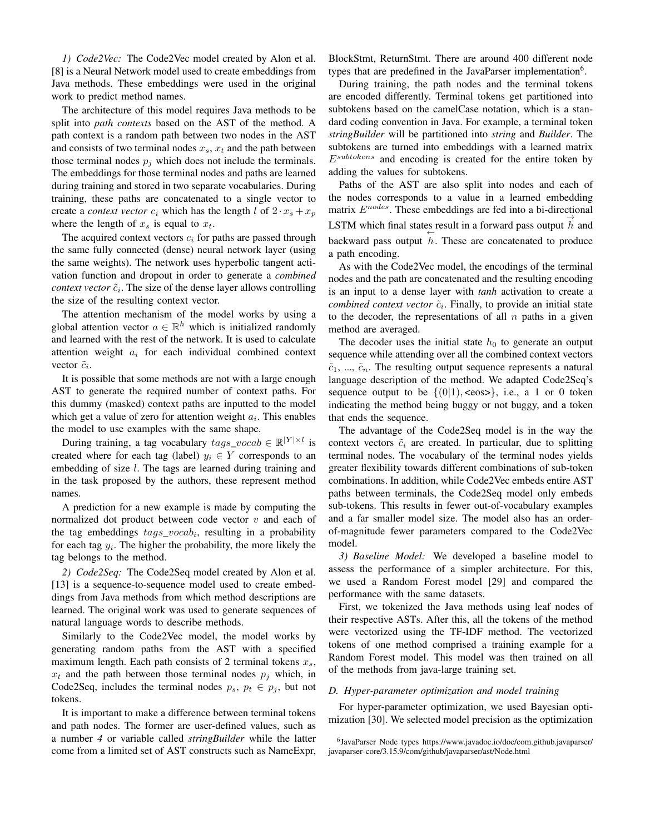*1) Code2Vec:* The Code2Vec model created by Alon et al. [8] is a Neural Network model used to create embeddings from Java methods. These embeddings were used in the original work to predict method names.

The architecture of this model requires Java methods to be split into *path contexts* based on the AST of the method. A path context is a random path between two nodes in the AST and consists of two terminal nodes  $x_s$ ,  $x_t$  and the path between those terminal nodes  $p_j$  which does not include the terminals. The embeddings for those terminal nodes and paths are learned during training and stored in two separate vocabularies. During training, these paths are concatenated to a single vector to create a *context vector*  $c_i$  which has the length l of  $2 \cdot x_s + x_p$ where the length of  $x_s$  is equal to  $x_t$ .

The acquired context vectors  $c_i$  for paths are passed through the same fully connected (dense) neural network layer (using the same weights). The network uses hyperbolic tangent activation function and dropout in order to generate a *combined* context vector  $\tilde{c}_i$ . The size of the dense layer allows controlling the size of the resulting context vector.

The attention mechanism of the model works by using a global attention vector  $a \in \mathbb{R}^h$  which is initialized randomly and learned with the rest of the network. It is used to calculate attention weight  $a_i$  for each individual combined context vector  $\tilde{c}_i$ .

It is possible that some methods are not with a large enough AST to generate the required number of context paths. For this dummy (masked) context paths are inputted to the model which get a value of zero for attention weight  $a_i$ . This enables the model to use examples with the same shape.

During training, a tag vocabulary  $tags\_vocab \in \mathbb{R}^{|Y| \times l}$  is created where for each tag (label)  $y_i \in Y$  corresponds to an embedding of size *l*. The tags are learned during training and in the task proposed by the authors, these represent method names.

A prediction for a new example is made by computing the normalized dot product between code vector  $v$  and each of the tag embeddings  $tags\_vocab_i$ , resulting in a probability for each tag  $y_i$ . The higher the probability, the more likely the tag belongs to the method.

*2) Code2Seq:* The Code2Seq model created by Alon et al. [13] is a sequence-to-sequence model used to create embeddings from Java methods from which method descriptions are learned. The original work was used to generate sequences of natural language words to describe methods.

Similarly to the Code2Vec model, the model works by generating random paths from the AST with a specified maximum length. Each path consists of 2 terminal tokens  $x_s$ ,  $x_t$  and the path between those terminal nodes  $p_i$  which, in Code2Seq, includes the terminal nodes  $p_s$ ,  $p_t \in p_j$ , but not tokens.

It is important to make a difference between terminal tokens and path nodes. The former are user-defined values, such as a number *4* or variable called *stringBuilder* while the latter come from a limited set of AST constructs such as NameExpr, BlockStmt, ReturnStmt. There are around 400 different node types that are predefined in the JavaParser implementation<sup>6</sup>.

During training, the path nodes and the terminal tokens are encoded differently. Terminal tokens get partitioned into subtokens based on the camelCase notation, which is a standard coding convention in Java. For example, a terminal token *stringBuilder* will be partitioned into *string* and *Builder*. The subtokens are turned into embeddings with a learned matrix  $E^{subtokens}$  and encoding is created for the entire token by adding the values for subtokens.

Paths of the AST are also split into nodes and each of the nodes corresponds to a value in a learned embedding matrix  $E^{nodes}$ . These embeddings are fed into a bi-directional LSTM which final states result in a forward pass output  $\overrightarrow{h}$  and backward pass output  $h$ . These are concatenated to produce a path encoding.

As with the Code2Vec model, the encodings of the terminal nodes and the path are concatenated and the resulting encoding is an input to a dense layer with *tanh* activation to create a combined context vector  $\tilde{c}_i$ . Finally, to provide an initial state to the decoder, the representations of all  $n$  paths in a given method are averaged.

The decoder uses the initial state  $h_0$  to generate an output sequence while attending over all the combined context vectors  $\tilde{c}_1$ , ...,  $\tilde{c}_n$ . The resulting output sequence represents a natural language description of the method. We adapted Code2Seq's sequence output to be  $\{(0|1), \langle \text{eos}\rangle\}$ , i.e., a 1 or 0 token indicating the method being buggy or not buggy, and a token that ends the sequence.

The advantage of the Code2Seq model is in the way the context vectors  $\tilde{c}_i$  are created. In particular, due to splitting terminal nodes. The vocabulary of the terminal nodes yields greater flexibility towards different combinations of sub-token combinations. In addition, while Code2Vec embeds entire AST paths between terminals, the Code2Seq model only embeds sub-tokens. This results in fewer out-of-vocabulary examples and a far smaller model size. The model also has an orderof-magnitude fewer parameters compared to the Code2Vec model.

*3) Baseline Model:* We developed a baseline model to assess the performance of a simpler architecture. For this, we used a Random Forest model [29] and compared the performance with the same datasets.

First, we tokenized the Java methods using leaf nodes of their respective ASTs. After this, all the tokens of the method were vectorized using the TF-IDF method. The vectorized tokens of one method comprised a training example for a Random Forest model. This model was then trained on all of the methods from java-large training set.

#### *D. Hyper-parameter optimization and model training*

For hyper-parameter optimization, we used Bayesian optimization [30]. We selected model precision as the optimization

<sup>6</sup> JavaParser Node types https://www.javadoc.io/doc/com.github.javaparser/ javaparser-core/3.15.9/com/github/javaparser/ast/Node.html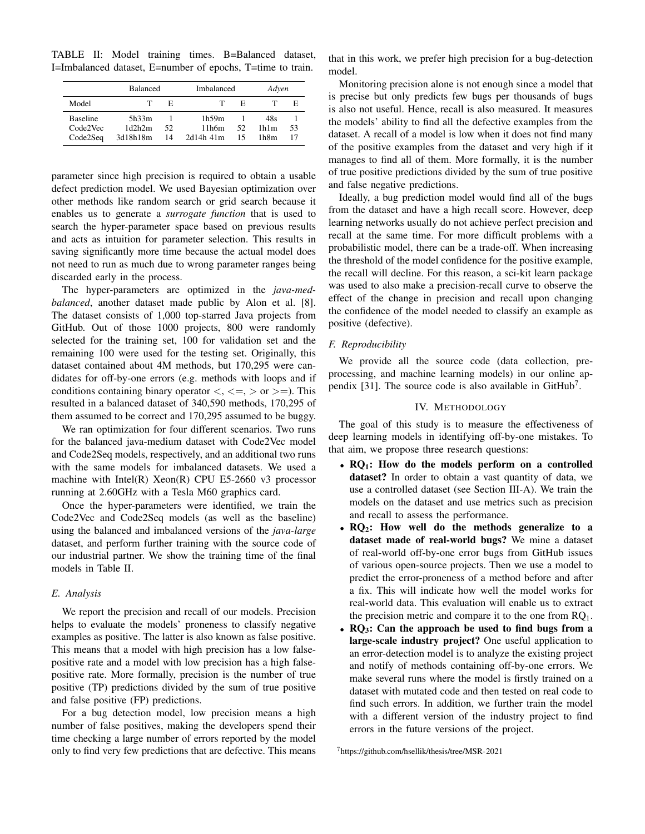TABLE II: Model training times. B=Balanced dataset, I=Imbalanced dataset, E=number of epochs, T=time to train.

|                 | <b>Balanced</b> |    | Imbalanced  | Adven |      |    |
|-----------------|-----------------|----|-------------|-------|------|----|
| Model           | Τ               | E  |             | E     |      | E  |
| <b>Baseline</b> | 5h33m           |    | 1h59m       |       | 48s  |    |
| Code2Vec        | 1d2h2m          | 52 | 11h6m       | 52    | 1h1m | 53 |
| Code2Seq        | 3d18h18m        | 14 | $2d14h$ 41m | 15    | 1h8m | 17 |

parameter since high precision is required to obtain a usable defect prediction model. We used Bayesian optimization over other methods like random search or grid search because it enables us to generate a *surrogate function* that is used to search the hyper-parameter space based on previous results and acts as intuition for parameter selection. This results in saving significantly more time because the actual model does not need to run as much due to wrong parameter ranges being discarded early in the process.

The hyper-parameters are optimized in the *java-medbalanced*, another dataset made public by Alon et al. [8]. The dataset consists of 1,000 top-starred Java projects from GitHub. Out of those 1000 projects, 800 were randomly selected for the training set, 100 for validation set and the remaining 100 were used for the testing set. Originally, this dataset contained about 4M methods, but 170,295 were candidates for off-by-one errors (e.g. methods with loops and if conditions containing binary operator  $\langle \langle \langle \rangle \rangle$  =  $\rangle$  or  $\langle \rangle$ = $\rangle$ . This resulted in a balanced dataset of 340,590 methods, 170,295 of them assumed to be correct and 170,295 assumed to be buggy.

We ran optimization for four different scenarios. Two runs for the balanced java-medium dataset with Code2Vec model and Code2Seq models, respectively, and an additional two runs with the same models for imbalanced datasets. We used a machine with Intel(R) Xeon(R) CPU E5-2660 v3 processor running at 2.60GHz with a Tesla M60 graphics card.

Once the hyper-parameters were identified, we train the Code2Vec and Code2Seq models (as well as the baseline) using the balanced and imbalanced versions of the *java-large* dataset, and perform further training with the source code of our industrial partner. We show the training time of the final models in Table II.

## *E. Analysis*

We report the precision and recall of our models. Precision helps to evaluate the models' proneness to classify negative examples as positive. The latter is also known as false positive. This means that a model with high precision has a low falsepositive rate and a model with low precision has a high falsepositive rate. More formally, precision is the number of true positive (TP) predictions divided by the sum of true positive and false positive (FP) predictions.

For a bug detection model, low precision means a high number of false positives, making the developers spend their time checking a large number of errors reported by the model only to find very few predictions that are defective. This means

that in this work, we prefer high precision for a bug-detection model.

Monitoring precision alone is not enough since a model that is precise but only predicts few bugs per thousands of bugs is also not useful. Hence, recall is also measured. It measures the models' ability to find all the defective examples from the dataset. A recall of a model is low when it does not find many of the positive examples from the dataset and very high if it manages to find all of them. More formally, it is the number of true positive predictions divided by the sum of true positive and false negative predictions.

Ideally, a bug prediction model would find all of the bugs from the dataset and have a high recall score. However, deep learning networks usually do not achieve perfect precision and recall at the same time. For more difficult problems with a probabilistic model, there can be a trade-off. When increasing the threshold of the model confidence for the positive example, the recall will decline. For this reason, a sci-kit learn package was used to also make a precision-recall curve to observe the effect of the change in precision and recall upon changing the confidence of the model needed to classify an example as positive (defective).

# *F. Reproducibility*

We provide all the source code (data collection, preprocessing, and machine learning models) in our online appendix [31]. The source code is also available in GitHub<sup>7</sup>.

#### IV. METHODOLOGY

The goal of this study is to measure the effectiveness of deep learning models in identifying off-by-one mistakes. To that aim, we propose three research questions:

- $RQ_1$ : How do the models perform on a controlled dataset? In order to obtain a vast quantity of data, we use a controlled dataset (see Section III-A). We train the models on the dataset and use metrics such as precision and recall to assess the performance.
- RQ<sub>2</sub>: How well do the methods generalize to a dataset made of real-world bugs? We mine a dataset of real-world off-by-one error bugs from GitHub issues of various open-source projects. Then we use a model to predict the error-proneness of a method before and after a fix. This will indicate how well the model works for real-world data. This evaluation will enable us to extract the precision metric and compare it to the one from  $RQ_1$ .
- $RQ_3$ : Can the approach be used to find bugs from a large-scale industry project? One useful application to an error-detection model is to analyze the existing project and notify of methods containing off-by-one errors. We make several runs where the model is firstly trained on a dataset with mutated code and then tested on real code to find such errors. In addition, we further train the model with a different version of the industry project to find errors in the future versions of the project.

<sup>7</sup>https://github.com/hsellik/thesis/tree/MSR-2021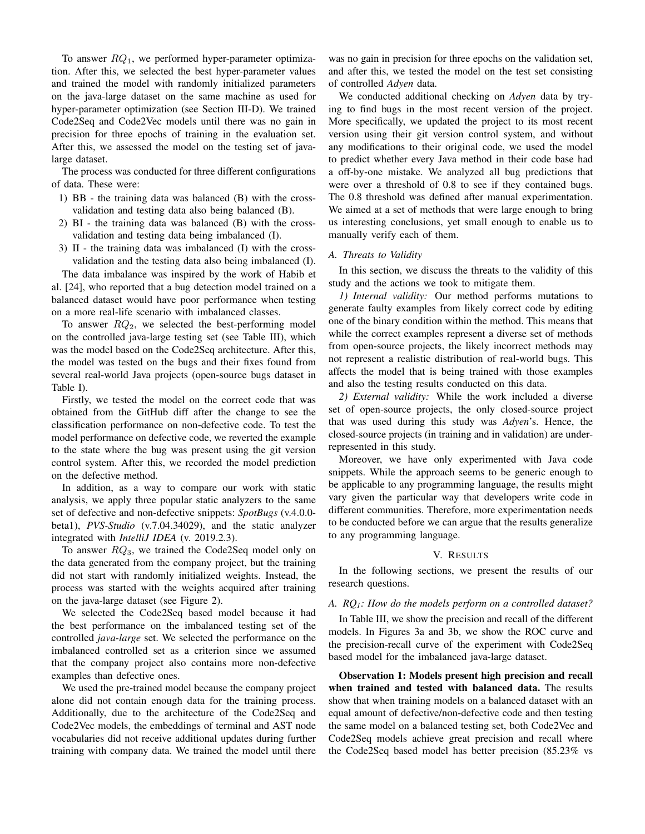To answer  $RQ_1$ , we performed hyper-parameter optimization. After this, we selected the best hyper-parameter values and trained the model with randomly initialized parameters on the java-large dataset on the same machine as used for hyper-parameter optimization (see Section III-D). We trained Code2Seq and Code2Vec models until there was no gain in precision for three epochs of training in the evaluation set. After this, we assessed the model on the testing set of javalarge dataset.

The process was conducted for three different configurations of data. These were:

- 1) BB the training data was balanced (B) with the crossvalidation and testing data also being balanced (B).
- 2) BI the training data was balanced (B) with the crossvalidation and testing data being imbalanced (I).
- 3) II the training data was imbalanced (I) with the crossvalidation and the testing data also being imbalanced (I).

The data imbalance was inspired by the work of Habib et al. [24], who reported that a bug detection model trained on a balanced dataset would have poor performance when testing on a more real-life scenario with imbalanced classes.

To answer  $RQ_2$ , we selected the best-performing model on the controlled java-large testing set (see Table III), which was the model based on the Code2Seq architecture. After this, the model was tested on the bugs and their fixes found from several real-world Java projects (open-source bugs dataset in Table I).

Firstly, we tested the model on the correct code that was obtained from the GitHub diff after the change to see the classification performance on non-defective code. To test the model performance on defective code, we reverted the example to the state where the bug was present using the git version control system. After this, we recorded the model prediction on the defective method.

In addition, as a way to compare our work with static analysis, we apply three popular static analyzers to the same set of defective and non-defective snippets: *SpotBugs* (v.4.0.0 beta1), *PVS-Studio* (v.7.04.34029), and the static analyzer integrated with *IntelliJ IDEA* (v. 2019.2.3).

To answer  $RQ_3$ , we trained the Code2Seq model only on the data generated from the company project, but the training did not start with randomly initialized weights. Instead, the process was started with the weights acquired after training on the java-large dataset (see Figure 2).

We selected the Code2Seq based model because it had the best performance on the imbalanced testing set of the controlled *java-large* set. We selected the performance on the imbalanced controlled set as a criterion since we assumed that the company project also contains more non-defective examples than defective ones.

We used the pre-trained model because the company project alone did not contain enough data for the training process. Additionally, due to the architecture of the Code2Seq and Code2Vec models, the embeddings of terminal and AST node vocabularies did not receive additional updates during further training with company data. We trained the model until there

was no gain in precision for three epochs on the validation set, and after this, we tested the model on the test set consisting of controlled *Adyen* data.

We conducted additional checking on *Adyen* data by trying to find bugs in the most recent version of the project. More specifically, we updated the project to its most recent version using their git version control system, and without any modifications to their original code, we used the model to predict whether every Java method in their code base had a off-by-one mistake. We analyzed all bug predictions that were over a threshold of 0.8 to see if they contained bugs. The 0.8 threshold was defined after manual experimentation. We aimed at a set of methods that were large enough to bring us interesting conclusions, yet small enough to enable us to manually verify each of them.

## *A. Threats to Validity*

In this section, we discuss the threats to the validity of this study and the actions we took to mitigate them.

*1) Internal validity:* Our method performs mutations to generate faulty examples from likely correct code by editing one of the binary condition within the method. This means that while the correct examples represent a diverse set of methods from open-source projects, the likely incorrect methods may not represent a realistic distribution of real-world bugs. This affects the model that is being trained with those examples and also the testing results conducted on this data.

*2) External validity:* While the work included a diverse set of open-source projects, the only closed-source project that was used during this study was *Adyen*'s. Hence, the closed-source projects (in training and in validation) are underrepresented in this study.

Moreover, we have only experimented with Java code snippets. While the approach seems to be generic enough to be applicable to any programming language, the results might vary given the particular way that developers write code in different communities. Therefore, more experimentation needs to be conducted before we can argue that the results generalize to any programming language.

#### V. RESULTS

In the following sections, we present the results of our research questions.

# *A. RQ1: How do the models perform on a controlled dataset?*

In Table III, we show the precision and recall of the different models. In Figures 3a and 3b, we show the ROC curve and the precision-recall curve of the experiment with Code2Seq based model for the imbalanced java-large dataset.

Observation 1: Models present high precision and recall when trained and tested with balanced data. The results show that when training models on a balanced dataset with an equal amount of defective/non-defective code and then testing the same model on a balanced testing set, both Code2Vec and Code2Seq models achieve great precision and recall where the Code2Seq based model has better precision (85.23% vs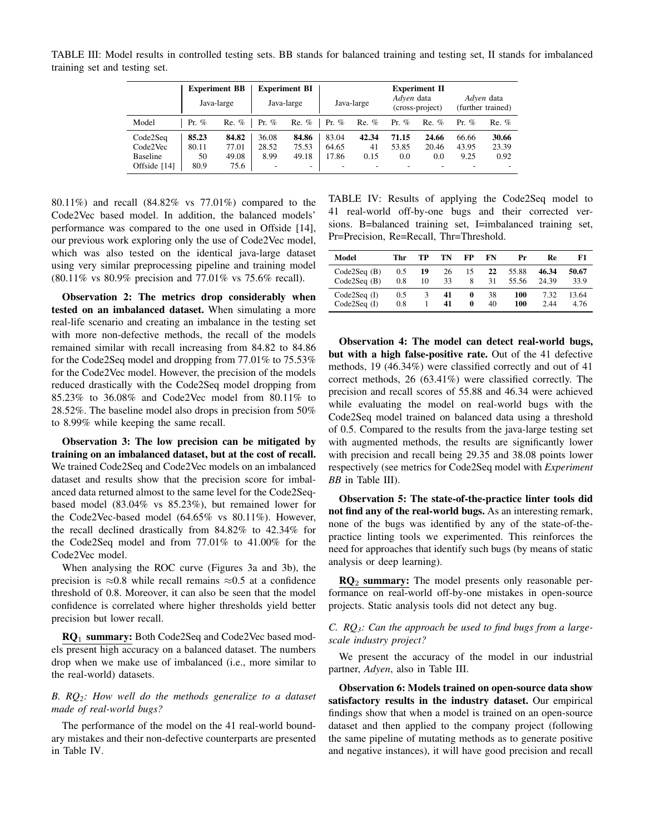TABLE III: Model results in controlled testing sets. BB stands for balanced training and testing set, II stands for imbalanced training set and testing set.

|                                                         | <b>Experiment BB</b><br>Java-large |                                 | <b>Experiment BI</b><br>Java-large                 | Java-large                   |                         | <b>Experiment II</b><br>Adven data<br>(cross-project) |                       | Adven data<br>(further trained) |                        |                        |
|---------------------------------------------------------|------------------------------------|---------------------------------|----------------------------------------------------|------------------------------|-------------------------|-------------------------------------------------------|-----------------------|---------------------------------|------------------------|------------------------|
| Model                                                   | Pr. $%$                            | $Re.$ %                         | Pr. $%$                                            | $Re.$ %                      | Pr. $%$                 | $Re.$ %                                               | Pr. $%$               | $Re.$ %                         | Pr. $%$                | $Re.$ %                |
| Code2Seq<br>Code2Vec<br><b>Baseline</b><br>Offside [14] | 85.23<br>80.11<br>50<br>80.9       | 84.82<br>77.01<br>49.08<br>75.6 | 36.08<br>28.52<br>8.99<br>$\overline{\phantom{a}}$ | 84.86<br>75.53<br>49.18<br>۰ | 83.04<br>64.65<br>17.86 | 42.34<br>41<br>0.15                                   | 71.15<br>53.85<br>0.0 | 24.66<br>20.46<br>0.0           | 66.66<br>43.95<br>9.25 | 30.66<br>23.39<br>0.92 |

80.11%) and recall (84.82% vs 77.01%) compared to the Code2Vec based model. In addition, the balanced models' performance was compared to the one used in Offside [14], our previous work exploring only the use of Code2Vec model, which was also tested on the identical java-large dataset using very similar preprocessing pipeline and training model (80.11% vs 80.9% precision and 77.01% vs 75.6% recall).

Observation 2: The metrics drop considerably when tested on an imbalanced dataset. When simulating a more real-life scenario and creating an imbalance in the testing set with more non-defective methods, the recall of the models remained similar with recall increasing from 84.82 to 84.86 for the Code2Seq model and dropping from 77.01% to 75.53% for the Code2Vec model. However, the precision of the models reduced drastically with the Code2Seq model dropping from 85.23% to 36.08% and Code2Vec model from 80.11% to 28.52%. The baseline model also drops in precision from 50% to 8.99% while keeping the same recall.

Observation 3: The low precision can be mitigated by training on an imbalanced dataset, but at the cost of recall. We trained Code2Seq and Code2Vec models on an imbalanced dataset and results show that the precision score for imbalanced data returned almost to the same level for the Code2Seqbased model (83.04% vs 85.23%), but remained lower for the Code2Vec-based model (64.65% vs 80.11%). However, the recall declined drastically from 84.82% to 42.34% for the Code2Seq model and from 77.01% to 41.00% for the Code2Vec model.

When analysing the ROC curve (Figures 3a and 3b), the precision is  $\approx 0.8$  while recall remains  $\approx 0.5$  at a confidence threshold of 0.8. Moreover, it can also be seen that the model confidence is correlated where higher thresholds yield better precision but lower recall.

RQ<sub>1</sub> summary: Both Code2Seq and Code2Vec based models present high accuracy on a balanced dataset. The numbers drop when we make use of imbalanced (i.e., more similar to the real-world) datasets.

# *B. RQ2: How well do the methods generalize to a dataset made of real-world bugs?*

The performance of the model on the 41 real-world boundary mistakes and their non-defective counterparts are presented in Table IV.

TABLE IV: Results of applying the Code2Seq model to 41 real-world off-by-one bugs and their corrected versions. B=balanced training set, I=imbalanced training set, Pr=Precision, Re=Recall, Thr=Threshold.

| Model          | Thr | TР | TN | FP | FN | Pr    | Re    | F1    |
|----------------|-----|----|----|----|----|-------|-------|-------|
| Code2Seq(B)    | 0.5 | 19 | 26 | 15 | 22 | 55.88 | 46.34 | 50.67 |
| Code2Seq(B)    | 0.8 | 10 | 33 | 8  | 31 | 55.56 | 24.39 | 33.9  |
| $Code2Seq$ (I) | 0.5 | 3  | 41 | 0  | 38 | 100   | 7.32  | 13.64 |
| Code2Seq $(I)$ | 0.8 |    | 41 | 0  | 40 | 100   | 2.44  | 4.76  |

Observation 4: The model can detect real-world bugs, but with a high false-positive rate. Out of the 41 defective methods, 19 (46.34%) were classified correctly and out of 41 correct methods, 26 (63.41%) were classified correctly. The precision and recall scores of 55.88 and 46.34 were achieved while evaluating the model on real-world bugs with the Code2Seq model trained on balanced data using a threshold of 0.5. Compared to the results from the java-large testing set with augmented methods, the results are significantly lower with precision and recall being 29.35 and 38.08 points lower respectively (see metrics for Code2Seq model with *Experiment BB* in Table III).

Observation 5: The state-of-the-practice linter tools did not find any of the real-world bugs. As an interesting remark, none of the bugs was identified by any of the state-of-thepractice linting tools we experimented. This reinforces the need for approaches that identify such bugs (by means of static analysis or deep learning).

 $RO<sub>2</sub>$  summary: The model presents only reasonable performance on real-world off-by-one mistakes in open-source projects. Static analysis tools did not detect any bug.

# *C. RQ3: Can the approach be used to find bugs from a largescale industry project?*

We present the accuracy of the model in our industrial partner, *Adyen*, also in Table III.

Observation 6: Models trained on open-source data show satisfactory results in the industry dataset. Our empirical findings show that when a model is trained on an open-source dataset and then applied to the company project (following the same pipeline of mutating methods as to generate positive and negative instances), it will have good precision and recall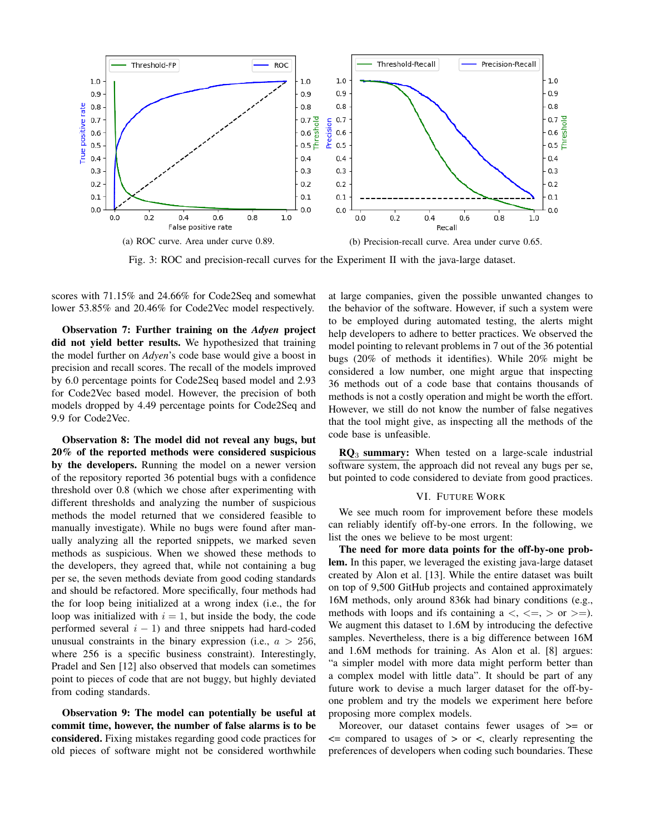

Fig. 3: ROC and precision-recall curves for the Experiment II with the java-large dataset.

scores with 71.15% and 24.66% for Code2Seq and somewhat lower 53.85% and 20.46% for Code2Vec model respectively.

Observation 7: Further training on the *Adyen* project did not yield better results. We hypothesized that training the model further on *Adyen*'s code base would give a boost in precision and recall scores. The recall of the models improved by 6.0 percentage points for Code2Seq based model and 2.93 for Code2Vec based model. However, the precision of both models dropped by 4.49 percentage points for Code2Seq and 9.9 for Code2Vec.

Observation 8: The model did not reveal any bugs, but 20% of the reported methods were considered suspicious by the developers. Running the model on a newer version of the repository reported 36 potential bugs with a confidence threshold over 0.8 (which we chose after experimenting with different thresholds and analyzing the number of suspicious methods the model returned that we considered feasible to manually investigate). While no bugs were found after manually analyzing all the reported snippets, we marked seven methods as suspicious. When we showed these methods to the developers, they agreed that, while not containing a bug per se, the seven methods deviate from good coding standards and should be refactored. More specifically, four methods had the for loop being initialized at a wrong index (i.e., the for loop was initialized with  $i = 1$ , but inside the body, the code performed several  $i - 1$ ) and three snippets had hard-coded unusual constraints in the binary expression (i.e.,  $a > 256$ , where 256 is a specific business constraint). Interestingly, Pradel and Sen [12] also observed that models can sometimes point to pieces of code that are not buggy, but highly deviated from coding standards.

Observation 9: The model can potentially be useful at commit time, however, the number of false alarms is to be considered. Fixing mistakes regarding good code practices for old pieces of software might not be considered worthwhile at large companies, given the possible unwanted changes to the behavior of the software. However, if such a system were to be employed during automated testing, the alerts might help developers to adhere to better practices. We observed the model pointing to relevant problems in 7 out of the 36 potential bugs (20% of methods it identifies). While 20% might be considered a low number, one might argue that inspecting 36 methods out of a code base that contains thousands of methods is not a costly operation and might be worth the effort. However, we still do not know the number of false negatives that the tool might give, as inspecting all the methods of the code base is unfeasible.

 $RQ_3$  summary: When tested on a large-scale industrial software system, the approach did not reveal any bugs per se, but pointed to code considered to deviate from good practices.

#### VI. FUTURE WORK

We see much room for improvement before these models can reliably identify off-by-one errors. In the following, we list the ones we believe to be most urgent:

The need for more data points for the off-by-one problem. In this paper, we leveraged the existing java-large dataset created by Alon et al. [13]. While the entire dataset was built on top of 9,500 GitHub projects and contained approximately 16M methods, only around 836k had binary conditions (e.g., methods with loops and ifs containing  $a <, \langle =, \rangle$  or  $>=$ ). We augment this dataset to 1.6M by introducing the defective samples. Nevertheless, there is a big difference between 16M and 1.6M methods for training. As Alon et al. [8] argues: "a simpler model with more data might perform better than a complex model with little data". It should be part of any future work to devise a much larger dataset for the off-byone problem and try the models we experiment here before proposing more complex models.

Moreover, our dataset contains fewer usages of  $\geq$  or  $\leq$  compared to usages of  $>$  or  $\leq$ , clearly representing the preferences of developers when coding such boundaries. These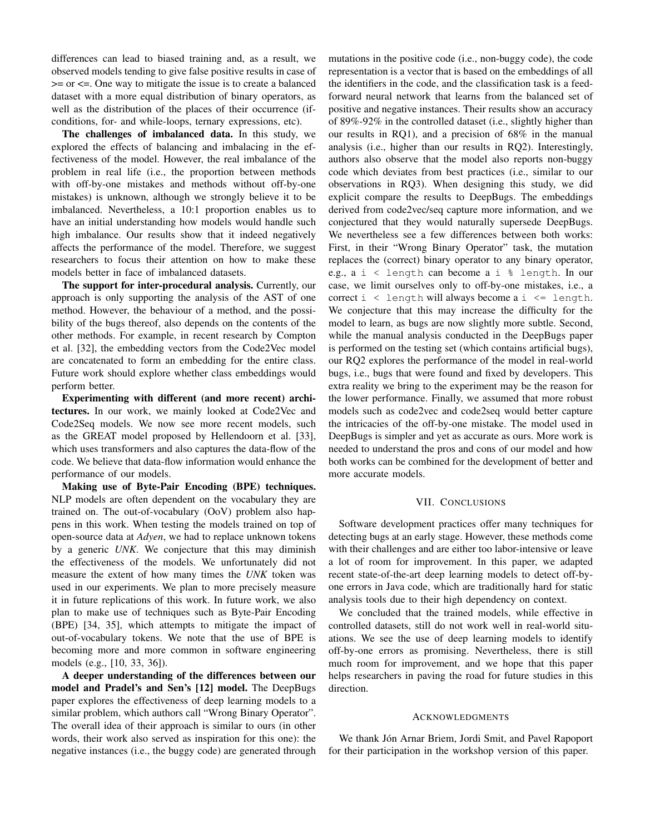differences can lead to biased training and, as a result, we observed models tending to give false positive results in case of >= or <=. One way to mitigate the issue is to create a balanced dataset with a more equal distribution of binary operators, as well as the distribution of the places of their occurrence (ifconditions, for- and while-loops, ternary expressions, etc).

The challenges of imbalanced data. In this study, we explored the effects of balancing and imbalacing in the effectiveness of the model. However, the real imbalance of the problem in real life (i.e., the proportion between methods with off-by-one mistakes and methods without off-by-one mistakes) is unknown, although we strongly believe it to be imbalanced. Nevertheless, a 10:1 proportion enables us to have an initial understanding how models would handle such high imbalance. Our results show that it indeed negatively affects the performance of the model. Therefore, we suggest researchers to focus their attention on how to make these models better in face of imbalanced datasets.

The support for inter-procedural analysis. Currently, our approach is only supporting the analysis of the AST of one method. However, the behaviour of a method, and the possibility of the bugs thereof, also depends on the contents of the other methods. For example, in recent research by Compton et al. [32], the embedding vectors from the Code2Vec model are concatenated to form an embedding for the entire class. Future work should explore whether class embeddings would perform better.

Experimenting with different (and more recent) architectures. In our work, we mainly looked at Code2Vec and Code2Seq models. We now see more recent models, such as the GREAT model proposed by Hellendoorn et al. [33], which uses transformers and also captures the data-flow of the code. We believe that data-flow information would enhance the performance of our models.

Making use of Byte-Pair Encoding (BPE) techniques. NLP models are often dependent on the vocabulary they are trained on. The out-of-vocabulary (OoV) problem also happens in this work. When testing the models trained on top of open-source data at *Adyen*, we had to replace unknown tokens by a generic *UNK*. We conjecture that this may diminish the effectiveness of the models. We unfortunately did not measure the extent of how many times the *UNK* token was used in our experiments. We plan to more precisely measure it in future replications of this work. In future work, we also plan to make use of techniques such as Byte-Pair Encoding (BPE) [34, 35], which attempts to mitigate the impact of out-of-vocabulary tokens. We note that the use of BPE is becoming more and more common in software engineering models (e.g., [10, 33, 36]).

A deeper understanding of the differences between our model and Pradel's and Sen's [12] model. The DeepBugs paper explores the effectiveness of deep learning models to a similar problem, which authors call "Wrong Binary Operator". The overall idea of their approach is similar to ours (in other words, their work also served as inspiration for this one): the negative instances (i.e., the buggy code) are generated through mutations in the positive code (i.e., non-buggy code), the code representation is a vector that is based on the embeddings of all the identifiers in the code, and the classification task is a feedforward neural network that learns from the balanced set of positive and negative instances. Their results show an accuracy of 89%-92% in the controlled dataset (i.e., slightly higher than our results in RQ1), and a precision of 68% in the manual analysis (i.e., higher than our results in RQ2). Interestingly, authors also observe that the model also reports non-buggy code which deviates from best practices (i.e., similar to our observations in RQ3). When designing this study, we did explicit compare the results to DeepBugs. The embeddings derived from code2vec/seq capture more information, and we conjectured that they would naturally supersede DeepBugs. We nevertheless see a few differences between both works: First, in their "Wrong Binary Operator" task, the mutation replaces the (correct) binary operator to any binary operator, e.g., a i < length can become a i % length. In our case, we limit ourselves only to off-by-one mistakes, i.e., a correct  $i <$  length will always become a  $i <$  length. We conjecture that this may increase the difficulty for the model to learn, as bugs are now slightly more subtle. Second, while the manual analysis conducted in the DeepBugs paper is performed on the testing set (which contains artificial bugs), our RQ2 explores the performance of the model in real-world bugs, i.e., bugs that were found and fixed by developers. This extra reality we bring to the experiment may be the reason for the lower performance. Finally, we assumed that more robust models such as code2vec and code2seq would better capture the intricacies of the off-by-one mistake. The model used in DeepBugs is simpler and yet as accurate as ours. More work is needed to understand the pros and cons of our model and how both works can be combined for the development of better and more accurate models.

#### VII. CONCLUSIONS

Software development practices offer many techniques for detecting bugs at an early stage. However, these methods come with their challenges and are either too labor-intensive or leave a lot of room for improvement. In this paper, we adapted recent state-of-the-art deep learning models to detect off-byone errors in Java code, which are traditionally hard for static analysis tools due to their high dependency on context.

We concluded that the trained models, while effective in controlled datasets, still do not work well in real-world situations. We see the use of deep learning models to identify off-by-one errors as promising. Nevertheless, there is still much room for improvement, and we hope that this paper helps researchers in paving the road for future studies in this direction.

#### ACKNOWLEDGMENTS

We thank Jón Arnar Briem, Jordi Smit, and Pavel Rapoport for their participation in the workshop version of this paper.